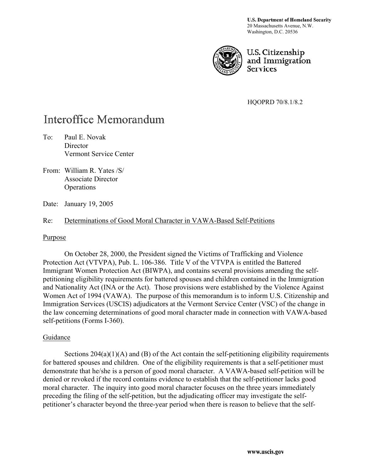U.S. Department of Homeland Security 20 Massachusetts Avenue, N.W. Washington, D.C. 20536



U.S. Citizenship and Immigration **Services** 

HQOPRD 70/8.1/8.2

# **Interoffice Memorandum**

- To: Paul E. Novak **Director** Vermont Service Center
- From: William R. Yates /S/ Associate Director **Operations**
- Date: January 19, 2005

## Re: Determinations of Good Moral Character in VAWA-Based Self-Petitions

#### Purpose

On October 28, 2000, the President signed the Victims of Trafficking and Violence Protection Act (VTVPA), Pub. L. 106-386. Title V of the VTVPA is entitled the Battered Immigrant Women Protection Act (BIWPA), and contains several provisions amending the selfpetitioning eligibility requirements for battered spouses and children contained in the Immigration and Nationality Act (INA or the Act). Those provisions were established by the Violence Against Women Act of 1994 (VAWA). The purpose of this memorandum is to inform U.S. Citizenship and Immigration Services (USCIS) adjudicators at the Vermont Service Center (VSC) of the change in the law concerning determinations of good moral character made in connection with VAWA-based self-petitions (Forms I-360).

#### Guidance

Sections  $204(a)(1)(A)$  and (B) of the Act contain the self-petitioning eligibility requirements for battered spouses and children. One of the eligibility requirements is that a self-petitioner must demonstrate that he/she is a person of good moral character. A VAWA-based self-petition will be denied or revoked if the record contains evidence to establish that the self-petitioner lacks good moral character. The inquiry into good moral character focuses on the three years immediately preceding the filing of the self-petition, but the adjudicating officer may investigate the selfpetitioner's character beyond the three-year period when there is reason to believe that the self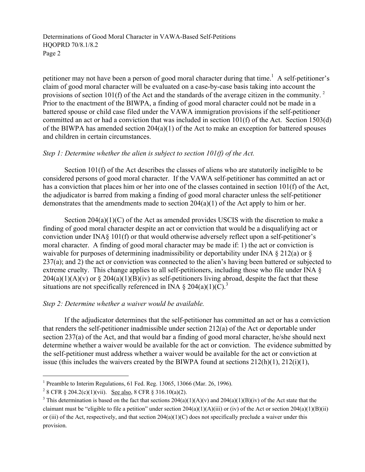Determinations of Good Moral Character in VAWA-Based Self-Petitions HQOPRD 70/8.1/8.2 Page 2

petitioner may not have been a person of good moral character during that time.<sup>1</sup> A self-petitioner's claim of good moral character will be evaluated on a case-by-case basis taking into account the provisions of section 101(f) of the Act and the standards of the average citizen in the community.<sup>[2](#page-1-1)</sup> Prior to the enactment of the BIWPA, a finding of good moral character could not be made in a battered spouse or child case filed under the VAWA immigration provisions if the self-petitioner committed an act or had a conviction that was included in section 101(f) of the Act. Section 1503(d) of the BIWPA has amended section 204(a)(1) of the Act to make an exception for battered spouses and children in certain circumstances.

## *Step 1: Determine whether the alien is subject to section 101(f) of the Act.*

 Section 101(f) of the Act describes the classes of aliens who are statutorily ineligible to be considered persons of good moral character. If the VAWA self-petitioner has committed an act or has a conviction that places him or her into one of the classes contained in section 101(f) of the Act, the adjudicator is barred from making a finding of good moral character unless the self-petitioner demonstrates that the amendments made to section  $204(a)(1)$  of the Act apply to him or her.

Section  $204(a)(1)(C)$  of the Act as amended provides USCIS with the discretion to make a finding of good moral character despite an act or conviction that would be a disqualifying act or conviction under INA§ 101(f) or that would otherwise adversely reflect upon a self-petitioner's moral character. A finding of good moral character may be made if: 1) the act or conviction is waivable for purposes of determining inadmissibility or deportability under INA § 212(a) or § 237(a); and 2) the act or conviction was connected to the alien's having been battered or subjected to extreme cruelty. This change applies to all self-petitioners, including those who file under INA §  $204(a)(1)(A)(v)$  or §  $204(a)(1)(B)(iv)$  as self-petitioners living abroad, despite the fact that these situations are not specifically referenced in INA  $\S 204(a)(1)(C)^3$  $\S 204(a)(1)(C)^3$ 

# *Step 2: Determine whether a waiver would be available.*

If the adjudicator determines that the self-petitioner has committed an act or has a conviction that renders the self-petitioner inadmissible under section 212(a) of the Act or deportable under section 237(a) of the Act, and that would bar a finding of good moral character, he/she should next determine whether a waiver would be available for the act or conviction. The evidence submitted by the self-petitioner must address whether a waiver would be available for the act or conviction at issue (this includes the waivers created by the BIWPA found at sections 212(h)(1), 212(i)(1),

l

<span id="page-1-0"></span><sup>&</sup>lt;sup>1</sup> Preamble to Interim Regulations, 61 Fed. Reg. 13065, 13066 (Mar. 26, 1996).

<span id="page-1-1"></span><sup>&</sup>lt;sup>2</sup> 8 CFR § 204.2(c)(1)(vii). <u>See also</u>, 8 CFR § 316.10(a)(2).<br><sup>3</sup> This determination is based on the feet that sections 204(a)(

<span id="page-1-2"></span><sup>&</sup>lt;sup>3</sup> This determination is based on the fact that sections  $204(a)(1)(A)(v)$  and  $204(a)(1)(B)(iv)$  of the Act state that the claimant must be "eligible to file a petition" under section  $204(a)(1)(A)(iii)$  or (iv) of the Act or section  $204(a)(1)(B)(ii)$ or (iii) of the Act, respectively, and that section 204(a)(1)(C) does not specifically preclude a waiver under this provision.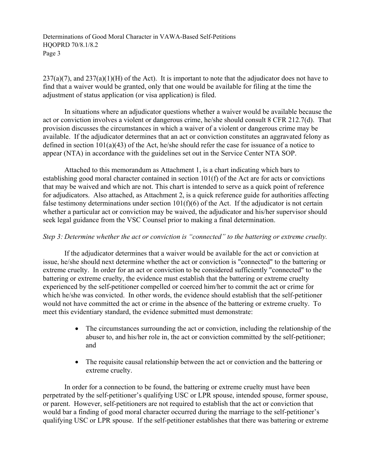Determinations of Good Moral Character in VAWA-Based Self-Petitions HQOPRD 70/8.1/8.2 Page 3

 $237(a)(7)$ , and  $237(a)(1)(H)$  of the Act). It is important to note that the adjudicator does not have to find that a waiver would be granted, only that one would be available for filing at the time the adjustment of status application (or visa application) is filed.

In situations where an adjudicator questions whether a waiver would be available because the act or conviction involves a violent or dangerous crime, he/she should consult 8 CFR 212.7(d). That provision discusses the circumstances in which a waiver of a violent or dangerous crime may be available. If the adjudicator determines that an act or conviction constitutes an aggravated felony as defined in section 101(a)(43) of the Act, he/she should refer the case for issuance of a notice to appear (NTA) in accordance with the guidelines set out in the Service Center NTA SOP.

Attached to this memorandum as Attachment 1, is a chart indicating which bars to establishing good moral character contained in section 101(f) of the Act are for acts or convictions that may be waived and which are not. This chart is intended to serve as a quick point of reference for adjudicators. Also attached, as Attachment 2, is a quick reference guide for authorities affecting false testimony determinations under section 101(f)(6) of the Act. If the adjudicator is not certain whether a particular act or conviction may be waived, the adjudicator and his/her supervisor should seek legal guidance from the VSC Counsel prior to making a final determination.

## *Step 3: Determine whether the act or conviction is "connected" to the battering or extreme cruelty.*

 If the adjudicator determines that a waiver would be available for the act or conviction at issue, he/she should next determine whether the act or conviction is "connected" to the battering or extreme cruelty. In order for an act or conviction to be considered sufficiently "connected" to the battering or extreme cruelty, the evidence must establish that the battering or extreme cruelty experienced by the self-petitioner compelled or coerced him/her to commit the act or crime for which he/she was convicted. In other words, the evidence should establish that the self-petitioner would not have committed the act or crime in the absence of the battering or extreme cruelty. To meet this evidentiary standard, the evidence submitted must demonstrate:

- The circumstances surrounding the act or conviction, including the relationship of the abuser to, and his/her role in, the act or conviction committed by the self-petitioner; and
- The requisite causal relationship between the act or conviction and the battering or extreme cruelty.

In order for a connection to be found, the battering or extreme cruelty must have been perpetrated by the self-petitioner's qualifying USC or LPR spouse, intended spouse, former spouse, or parent. However, self-petitioners are not required to establish that the act or conviction that would bar a finding of good moral character occurred during the marriage to the self-petitioner's qualifying USC or LPR spouse. If the self-petitioner establishes that there was battering or extreme